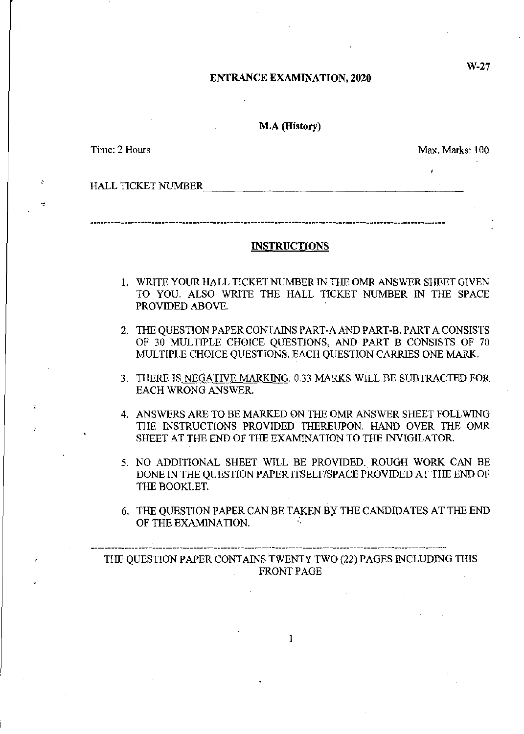#### ENTRANCE EXAMINATION, 2020

#### M.A (History)

**Time: 2 Hours Max. Marks: 100** 

HALL TICKET NUMBER

#### INSTRUCTIONS

- 1. WRITE YOUR HALL TICKET NUMBER IN THE OMR ANSWER SHEET GIVEN TO YOU. ALSO WRITE THE HALL TICKET NUMBER IN THE SPACE PROVIDED ABOVE.
- 2. THE QUESTION PAPER CONTAlNS PART-A AND PART-B. PART A CONSISTS OF 30 MULTIPLE CHOICE QUESTIONS, AND PART B CONSISTS OF 70 MULTIPLE CHOICE QUESTIONS. EACH QUESTION CARRIES ONE MARK.
- 3. THERE IS NEGATIVE MARKING. 0.33 MARKS WILL BE SUBTRACTED FOR EACH WRONG ANSWER.
- 4. ANSWERS ARE TO BE MARKED ON THE OMR ANSWER SHEET FOLL WING THE INSTRUCTIONS PROVIDED THEREUPON. HAND OVER THE OMR SHEET AT THE END OF THE EXAMINATION TO THE INVIGILATOR.
- 5. NO ADDITIONAL SHEET WILL BE PROVIDED. ROUGH WORK CAN BE DONE IN THE QUESTION PAPER ITSELF/SPACE PROVIDED AT THE END OF THE BOOKLET.
- 6. THE QUESTION PAPER CAN BE TAKEN BY THE CANDIDATES AT THE END OF THE EXAMINATION.

THE QUESTION PAPER CONTAINS TWENTY TWO (22) PAGES INCLUDING THIS FRONT PAGE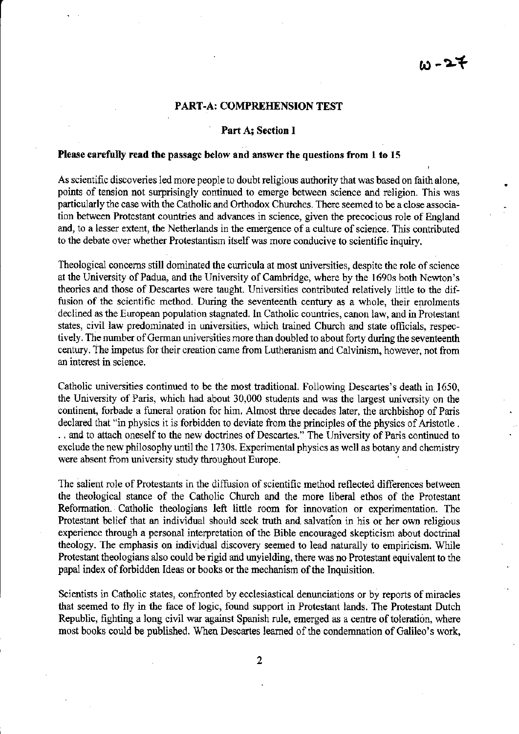## w-27

#### PART-A: COMPREHENSION TEST

#### Part A; Section I

#### Please carefully read the passage below and answer the questions from 1 to 15

As scientific discoveries led more people to doubt religious authority that was based on faith alone, points of tension not surprisingly continued to emerge between science and religion. This was particularly the case with the Catholic and Orthodox Churches. There seemed to be a close association between Protestant countries and advances in science, given the precocious role of England and, to a lesser extent, the Netherlands in the emergence of a culture of science. This contributed to the debate over whether Protestantism itself was more conducive to scientific inquiry.

Theological concerns still dominated the curricula at most universities, despite the role of science at the University of Padua, and the University of Cambridge, where by the 1690s both Newton's theories and those of Descartes were taught. Universities contributed relatively little to the diffusion of the scientific method. During the seventeenth century as a whole, their emolments declined as the European population stagnated. In Catholic countries, canon law, and in Protestant states, civil law predominated in universities, which trained Church and state officials, respectively. The number of German universities more than doubled to about forty during the seventeenth century. The impetus for their creation came from Lutheranism and Calvinism, however, not from an interest in science.

Catholic universities continued to be the most traditional. Following Descartes's death in 1650, the University of Paris, which had about 30,000 students and was the largest university on the continent, forbade a funeral oration for him. Almost three decades later, the archbishop of Paris declared that "in physics it is forbidden to deviate from the principles of the physics of Aristotle . . . and to attach oneself to the new doctrines of Descartes." The University of Paris continued to exclude the new philosophy until the l730s. Experimental physics as well as botany and chemistry were absent from university study throughout Europe.

The salient role of Protestants in the diffusion of scientific method reflected differences between the theological stance of the Catholic Church and the more liberal ethos of the Protestant Reformation. Catholic theologians left little room for innovation or experimentation. The Protestant belief that an individual should seek truth and salvation in his or her own religious experience through a personal interpretation of the Bible encouraged skepticism about doctrinal theology. The emphasis on individual discovery seemed to lead naturally to empiricism. While Protestant theologians also could be rigid and unyielding, there was no Protestant equivalent to the papal index of forbidden Ideas or books or the mechanism of the Inquisition.

Scientists in Catholic states, confronted by ecclesiastical denunciations or by reports of miracles that seemed to fly in the face of logic, found support in Protestant lands. The Protestant Dutch Republic, fighting a long civil war against Spanish rule, emerged as a centre of toleration, where most books could be published. When Descartes learned of the condemnation of Galileo's work,

2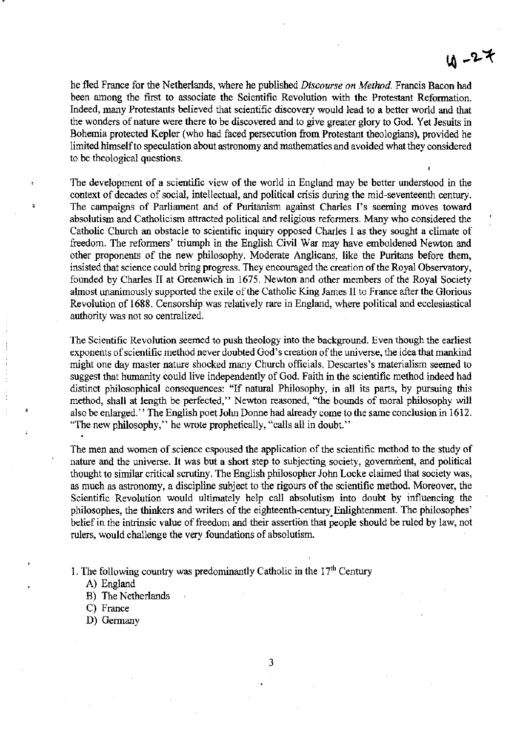# $4 - 27$

he fled France for the Netherlands, where he published *Discourse on Method.* Francis Bacon had been among the first to associate the Scientific Revolution with the Protestant Reformation. Indeed, many Protestants believed that scientific discovery would lead to a better world and that the wonders of nature were there to be discovered and to give greater glory to God. Yet Jesuits in Bohemia protected Kepler (who had faced persecution from Protestant theologians), provided he limited himself to speculation about astronomy and mathematics and avoided what they considered to be theological questions.

The development of a scientific view of the world in England may be better understood in the context of decades of social, intellectual, and political crisis during the mid~seventeenth century. The campaigns of Parliament and of Puritanism against Charles I's seeming moves toward absolutism and Catholicism attracted political and religious reformers. Many who considered the Catholic Church an obstacle to scientific inquiry opposed Charles I as they sought a climate of freedom. The reformers' triumph in the English Civil War may have emboldened Newton and other proponents of the new philosophy. Moderate Anglicans, like the Puritans before them, insisted that science could bring progress. They encouraged the creation of the Royal Observatory, founded by Charles II at Greenwich in 1675. Newton and other members of the Royal Society almost unanimously supported the exile of the Catholic King James II to France after the Glorious Revolution of 1688. Censorship was relatively rare in England, where political and ecclesiastical authority was not so centralized.

The Scientific Revolution seemed to push theology into the background. Even though the earliest exponents of scientific method never doubted God's creation of the universe, the idea that mankind might one day master nature shocked many Church officials. Descartes's materialism seemed to suggest that humanity could live independently of God. Faith in the scientific method indeed had distinct philosophical consequences: "If natural Philosophy, in all its parts, by pursuing this method, shall at length be perfected," Newton reasoned, "the bounds of moral philosophy will also be enlarged." The English poet John Donne had already come to the same conclusion in 1612. "The new philosophy," he wrote prophetically, "calls all in doubt."

The men and women of science espoused the application of the scientific method to the study of nature and the universe. It was but a short step to subjecting society, government, and political thought to similar critical scrutiny. The English philosopher John Locke claimed that society was, as much as astronomy, a discipline subject to the rigours of the scientific method. Moreover, the Scientific Revolution would ultimately help call absolutism into doubt by influencing the philosophes, the thinkers and writers of the eighteenth-century. Enlightenment. The philosophes' belief in the intrinsic value of freedom and their assertion that people should be ruled by law, not rulers, would challenge the very foundations of absolutism.

1. The following country was predominantly Catholic in the  $17<sup>th</sup>$  Century

- A) England
- B) The Netherlands
- C) France
- D) Germany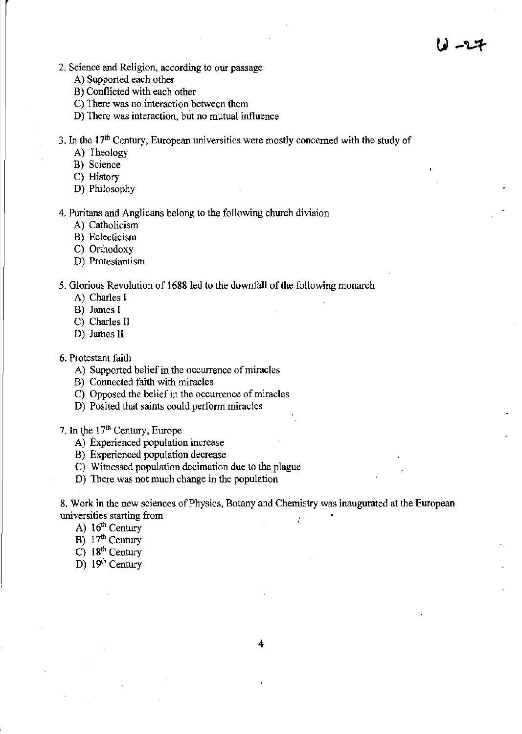- **2. Science and Religion, according to our passage** 
	- A) Supported each other
	- B) Conflicted with each other
	- **C) There was no interaction between them**
	- **D) There was interaction, but no mutual influence**
- **3. In the 17th Century, European universities were mostly concerned with the study of** 
	- A) Theology
	- **B) Science**
	- C) History
	- D) Philosophy

**4. Puritans and Anglicans belong to the following church division** 

- A) Catholicism
- **B) Eclecticism**
- C) Orthodoxy
- **D) Protestantism**

5. Glorious Revolution of 1688 led to the downfall of the following monarch

- A) Charles I
- B) James I
- C) Charles II
- D) James II

6. Protestant faith

- **A) Supported belief in the occurrence of miracles**
- **B) Connected faith with miracles**
- **C) Opposed the belief in the occurrence of miracles**
- **D)** Posited that saints could perform miracles

7. In *tpe* 17th Century, Europe

- **A) Experienced population increase**
- **B) Experienced population decrease**
- **C) Witnessed population decimation due to the plague**
- **D) There was not much change in the population**

**8. Work in the new sciences of Physics, Botany and Chemistry was inaugurated at the European universities starting from** .

- A)  $16<sup>th</sup>$  Century
- B) 17<sup>th</sup> Century
- $C)$  18<sup>th</sup> Century
- $D)$  19<sup>th</sup> Century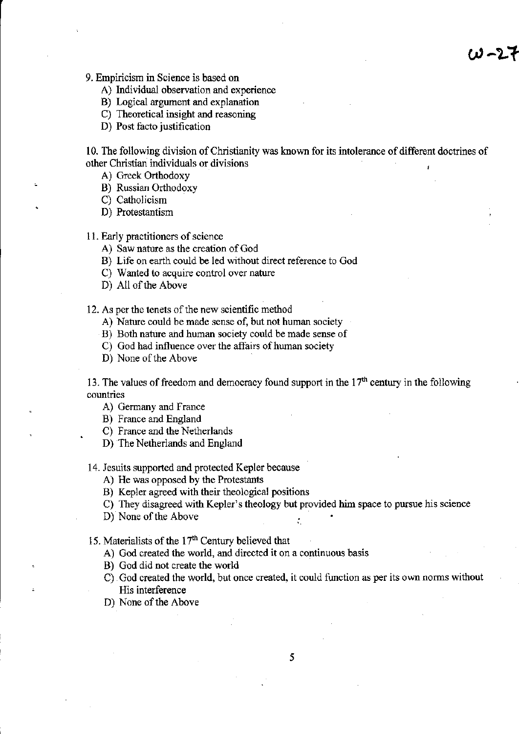**9. Empiricism in Science is based on** 

- **A) Individual observation and experience**
- **B) Logical argument and explanation**
- **C) Theoretical insight and reasoning**
- D) Post facto justification

**10. The following division of Christianity was known for its intolerance of different doctrines of other Christian individuals or divisions** 

A) Greek Orthodoxy

B) Russian Orthodoxy

- C) Catholicism
- D) Protestantism

**11. Early practitioners of science** 

- **A) Saw nature as the creation of God**
- **B) Life on earth could be led without direct reference to God**
- **C) Wanted to acquire control over nature**
- D) All of the Above

**12. As per the tenets of the new scientific method** 

- **A) Nature could be made sense of. but not human society**
- **B) Both nature and human society could be made sense of**
- **C) God had influence over the affairs of human society**
- D) None of the Above

13. The values of freedom and democracy found support in the  $17<sup>th</sup>$  century in the following **countries** 

- A) Germany and France
- B) France and England
- C) France and the Netherlands
- D) The Netherlands and England

**14. Jesuits supported and protected Kepler because** 

- A) He was opposed by the Protestants
- B) Kepler agreed with their theological positions
- **C) They disagreed with Kepler's theology but provided him space to pursue his science**

 $\ddot{\cdot}$ 

D) None of the Above

15. Materialists of the 17" Century believed that

- **A) God created the world, and directed it on a continuous basis**
- B) God did not create the world
- **C) God created the world, but once created, it could function as per its own norms without His interference**
- D) None of the Above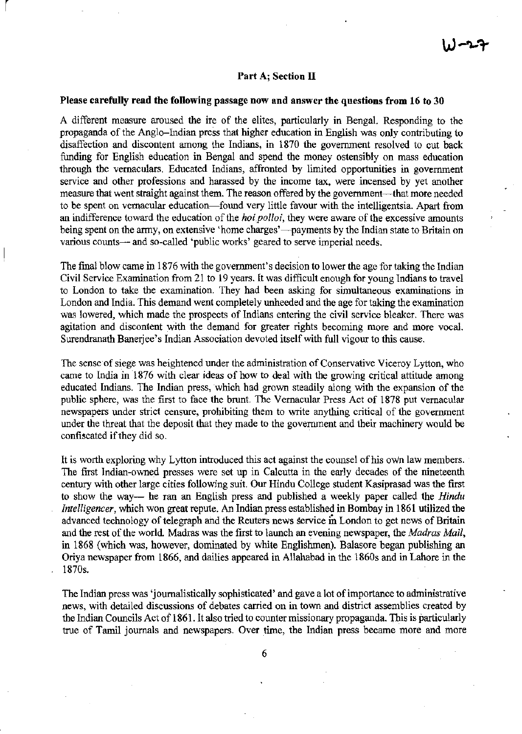#### Part A; Section II

### Please carefully read the following passage now and answer the questions from 16 to 30

l,

A different measure aroused the ire of the elites, particularly in Bengal. Responding to the propaganda of the Anglo-fudian press that higher education in English was only contributing to disaffection and discontent among the Indians, in 1870 the government resolved to cut back funding for English education in Bengal and spend the money ostensibly on mass education through the vernaculars. Educated Indians, affronted by limited opportunities in government service and other professions and harassed by the income tax, were incensed by yet another measure that went straight against them. The reason offered by the government—that more needed to be spent on vernacular education—found very little favour with the intelligentsia. Apart from an indifference toward the education of the *hoi polloi,* they were aware of the excessive amounts being spent on the army, on extensive 'home charges'—payments by the Indian state to Britain on various counts— and so-called 'public works' geared to serve imperial needs.

The final blow came in 1876 with the government's decision to lower the age for taking the Indian Civil Service Examination from 21 to 19 years. It was difficult enough for young Indians to travel to London to take the examination. They had been asking for simultaneous examinations in London and India. This demand went completely unheeded and the age for taking the examination was lowered, which made the prospects of Indians entering the civil service bleaker. There was agitation and discontent with the demand for greater rights becoming more and more vocal. Surendranath Banerjee's Indian Association devoted itself with full vigour to this cause.

The sense of siege was heightened under the administration of Conservative Viceroy Lytton, who came to India in 1876 with clear ideas of how to deal with the growing critical attitude among educated Indians. The Indian press, which had grown steadily along with the expansion of the public sphere, was the first to face the brunt. The Vernacular Press Act of 1878 put vernacular newspapers under strict censure, prohibiting them to write anything critical of the government under the threat that the deposit that they made to the government and their machinery would be confiscated if they did so.

It is worth exploring why Lytton introduced this act against the counsel of his own law members. The first Indian-owned presses were set up in Calcutta in the early decades of the nineteenth century with other large cities following suit. Our Hindu College student Kasiprasad was the first to show the way~ he ran an English press and published a weekly paper called the *Hindu Intelligencer,* which won great repute. An Indian press established in Bombay in 1861 utilized the advanced technology of telegraph and the Reuters news service in London to get news of Britain and the rest of the world. Madras was the first to launch an evening newspaper, the *Madras Mail*, in 1868 (which was, however, dominated by white Englishmen), Balasore began publishing an Oriya newspaper from 1866, and dailies appeared in Allahabad in the 1860s and in Lahore in the 1870s.

The Indian press was 'journalistically sophisticated' and gave a lot of importance to administrative news, with detailed discussions of debates carried on in town and district assemblies created by the Indian Councils Act of 1861. It also tried to counter missionary propaganda. This is particularly true of Tamil journals and newspapers. Over time, the Indian press became more and more

6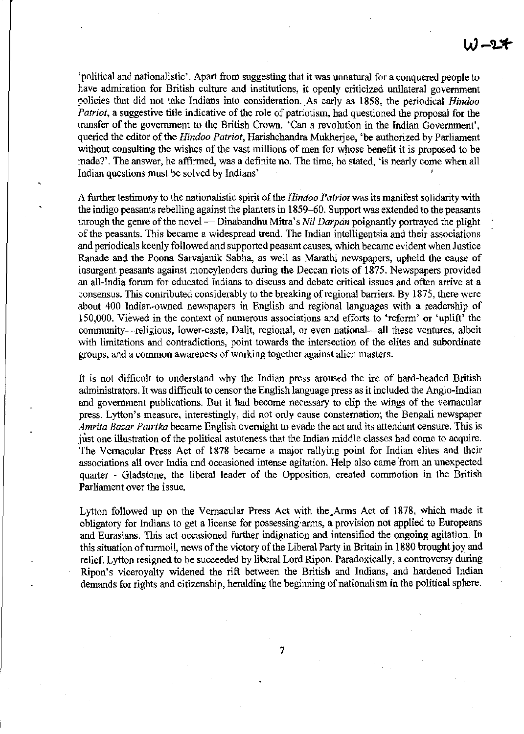'political and nationalistic'. Apart from suggesting that it was unnatural for a conquered people to have admiration for British culture and institutions, it openly criticized unilateral government policies that did not take Indians into consideration. As early as 1858, the periodical *Hindoo Patriot*, a suggestive title indicative of the role of patriotism, had questioned the proposal for the transfer of the government to the British Crown. 'Can a revolution in the Indian Government', queried the editor of the *Hindoo Patriot,* Harishchandra Mukherjee, 'be authorized by Parliament without consulting the wishes of the vast millions of men for whose benefit it is proposed to be made?'. The answer, he affirmed, was a definite no. The time, he stated, 'is nearly come when all Indian questions must be solved by Indians'

A further testimony to the nationalistic spirit of the *Hindoo Patriot* was its manifest solidarity with the indigo peasants rebelling against the planters in 1859-60. Support was extended to the peasants through the genre of the novel - Dinabandhu Mitra's *Nil Darpan* poignantly portrayed the plight of the peasants. This became a widespread trend. The Indian intelligentsia and their associations and periodicals keenly followed and supported peasant causes, which became evident when Justice Ranade and the Poona Sarvajanik Sabha, as well as Marathi newspapers, upheld the cause of insurgent peasants against moneylenders during the Deccan riots of 1875. Newspapers provided an all-India forum for educated Indians to discuss and debate critical issues and often arrive at a consensus. This contributed considerably to the breaking of regional barriers. By 1875, there were about 400 lndian-owned newspapers in English and regional languages with a readership of 150,000. Viewed in the context of numerous associations and efforts to 'reform' or 'uplift' the community--religious, lower-caste, Dalit, regional, or even national---all these ventures, albeit with limitations and contradictions, point towards the intersection of the elites and subordinate groups, and a common awareness of working together against alien masters.

It is not difficult to understand why the Indian press aroused the ire of hard-headed British administrators. It was difficult to censor the English language press as it included the Anglo-Indian and government publications. But it had become necessary to clip the wings of the vernacular press. Lytton's measure, interestingly, did not only cause consternation; the Bengali newspaper *Amrita Bazar Patrika* became English overnight to evade the act and its attendant censure. This is just one illustration of the political astuteness that the Indian middle classes had come to acquire. The Vernacular Press Act of 1878 became a major rallying point for Indian elites and their associations all over India and occasioned intense agitation. Help also came from an unexpected quarter - Gladstone, the liberal leader of the Opposition, created commotion in the British Parliament over the issue.

Lytton followed up on the Vernacular Press Act with the.Arms Act of 1878, which made it obligatory for Indians to get a license for possessing"arms, a provision not applied to Europeans and Eurasians. This act occasioned further indignation and intensified the ongoing agitation. In this situation of turmoil, news of the victory of the Liberal Party in Britain in 1880 brought joy and relief. Lytton resigned to be succeeded by liberal Lord Ripon. Paradoxically, a controversy during Ripon's viceroyalty widened the rift between the British and Indians, and hardened Indian demands for rights and citizenship, heralding the beginning of nationalism in the political sphere.

7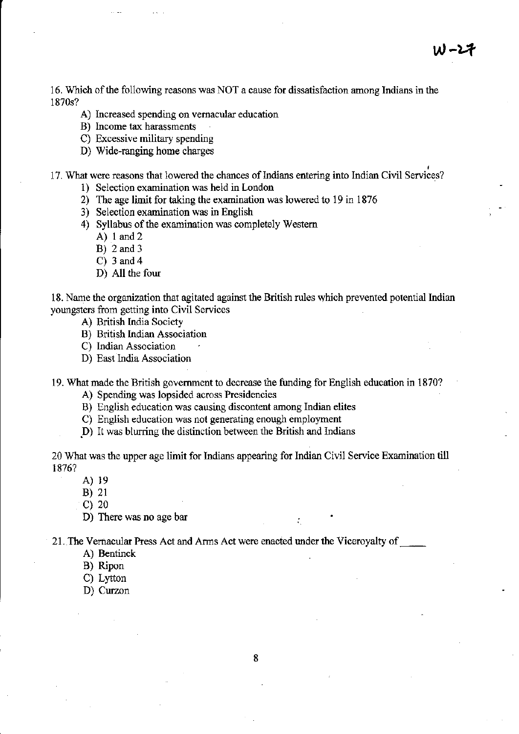**16. Which** of the **following reasons was NOT a cause for dissatisfaction among Indians in the**  1870s?

**W-l,..f** 

- **A) Increased spending on vernacular education**
- **B) Income tax harassments**
- **C) Excessive military spending**
- D) Wide-ranging horne charges

, **17. What were reasons that lowered the chances of Indians entering into Indian Civil Services?** 

- **1) Selection examination was held in London**
- **2) The age limit for taking the examination was lowered to 19 in 1876**
- **3) Selection examination was in English**
- 4) Syllabus of the examination was completely Western
	- A) I and 2
	- B) 2 and 3
	- C) 3 and 4
	- D) All the four

**18. Name the organization that agitated against the British rules which prevented potential Indian youngsters from getting into Civil Services** 

- A) British India Society
- B) British Indian Association
- **C) Indian Association**
- D) East India Association
- **19. What made the British government to decrease the funding for English education in 1870?** 
	- **A) Spending was lopsided across Presidencies**
	- **B) English education was causing discontent among Indian elites**
	- **C) English education was not generating enough employment**
	- **D) It was blurring the distinction between the British and Indians**

**20 What was the upper age limit for Indians appearing for Indian Civil Service Examination till**  1876?

- A) 19
- B) 21
- C) 20
- D) There was no age bar

**21. The Vernacular Press Act and Anns Act were enacted** under the **Viceroyalty** of \_\_

- A) Bentinck
- B) Ripon
- C) Lytton
- D) Curzon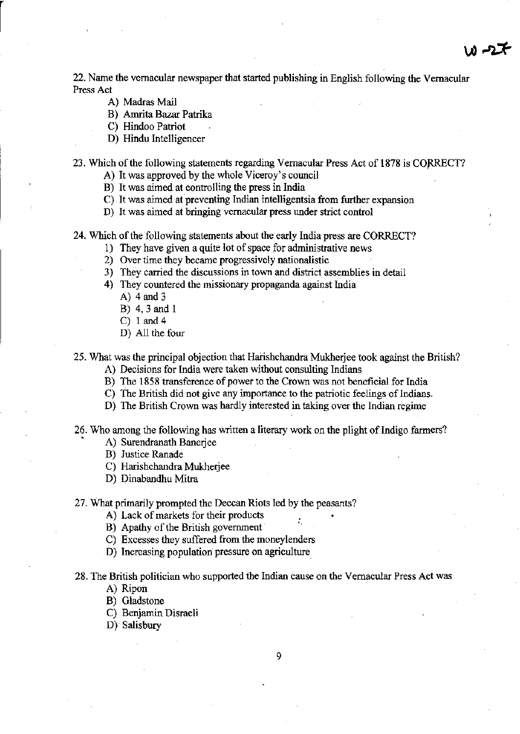22. Name the vernacular newspaper that started publishing in English following the Vernacular **Press Act** 

جرحہ ن

- A) Madras Mail
- B) Amrita Bazar Patrika
- C) Hindoo Patriot
- D) Hindu Intelligencer

23. Which of the following statements regarding Vernacular Press Act of 1878 is CORRECT?

- **A) It was approved by the whole Viceroy's council**
- B) It was aimed at controlling the press in India
- **e) It was aimed at preventing Indian intelligentsia from further expansion**
- **D) It was aimed at bringing vernacular press under strict control**

24. Which of the following statements about the early India press are CORRECT?

- **1) They have given a quite lot of space for administrative news**
- **2) Over time they became progressively nationalistic**
- **3) They carried the discussions in town and district assemblies in detail**
- **4) They countered the missionary propaganda against India** 
	- A) 4 and 3
	- B) 4,3 and I
	- C) 1 and 4
	- D) All the four
- **25. What was the principal objection that Harishchandra Mukherjee took against the British?** 
	- **A) Decisions for India were taken without consulting Indians**
	- **B) The 1858 transference of power to the Crown was not beneficial for India**
	- **C) The British did not give any importance to the patriotic feelings** of Indians.
	- **D) The British Crown was hardly interested in taking over the Indian regime**
- **26. Who among the following has written a literary work on the plight** of Indigo **fanners'?** 
	- A) Surendranath Baneriee
	- B) Justice Ranade
	- C) Harishchandra Mukherjee
	- D) Dinabandhu Mitra
- 27. What primarily prompted the Deccan Riots led by the peasants?
	- **A) Lack of markets for their products**
	- B) Apathy of the British government
	- **C) Excesses they suffered from the moneylenders**
	- **D) Increasing population pressure on agriculture.**
- **28. The British politician who supported the Indian cause on the Vernacular Press Act was** 
	- A) Ripon
	- B) Gladstone
	- C) Benjamin Disraeli
	- D) Salisbury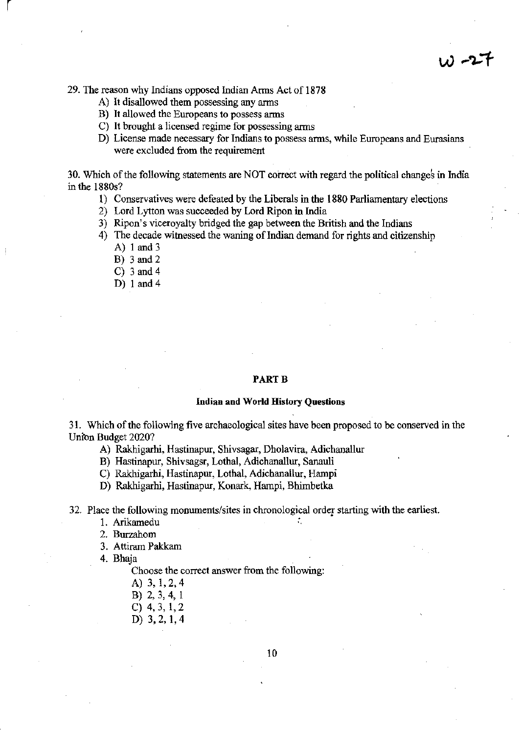- **A) It disallowed them possessing any arms**
- **B) It allowed the Europeans to possess arms**
- **C) It brought a licensed regime for possessing arms**
- **D) License made necessary for Indians to possess arms, while Europeans and Eurasians were excluded from the requirement**

 $w - 27$ 

30. Which of the following statements are NOT correct with regard the political changes in India in the 1880s?

- 1) Conservatives were defeated by the Liberals in the 1880 Parliamentary elections
- 2) Lord Lytton was succeeded by Lord Ripon in India
- 3) Ripon's viceroyalty bridged the gap between the British and the Indians
- 4) The decade witnessed the waning of Indian demand for rights and citizenship
	- A) 1 and 3

 $\vert$ 

- B) 3 and 2
- C) 3 and 4
- D) 1 and 4

#### **PARTB**

#### **Indian and World History Questions**

**31. Which of the following five archaeological sites have been proposed to be conserved in the**  Union Budget 2020?

A) Rakhigarhi. Hastinapur, Shivsagar, Dholavira, Adichanallur

B) Hastinapur, Shivsagsr, Lothal, Adichanallur, Sanauli

C) Rakhigarhi, Hastinapur, Lothal, Adichanallur, Hampi

D) Rakhigarhi, Hastinapur, Konark, Harnpi, Bhimbetka

**32. Place the following monuments/sites in chronological order starting with the earliest.** 

1. Arikamedu

2. Burzahom

3. Attiram Pakkam

4. Bhaja

**Choose the correct answer from the following:** 

- A) 3,1,2,4
- B) 2, 3, 4, 1
- C) 4,3,1,2
- D) 3,2, 1,4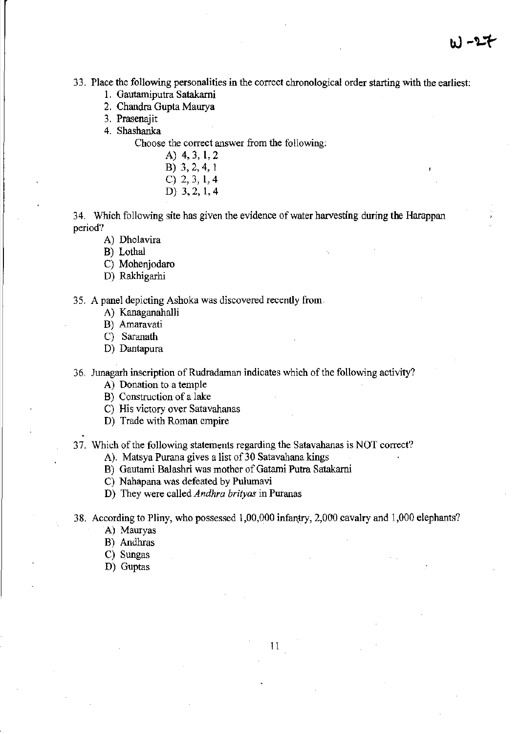**33. Place the following personalities in the correct chronological order starting with the earliest:** 

- I. Gautamiputra Satakarni
- 2. Chandra Gupta Maurya
- **3. Prasenajit**

4. Shashanka

**Choose the correct answer from the following:** 

- A) 4,3, 1,2 B) 3,2,4, I C) 2,3,1,4
- D) 3,2, 1,4

**34. Which follo-wing site has given the evidence** of water **harvesting during the Harappan period?** 

A) Dholavira

B) Lothal

C) Mohenjodaro

D) Rakhigarhi

**35. A panel depicting Ashoka was discovered recently from** 

A) Kanaganahalli

B) Amaravati

C) Saranath

D) Dantapura

**36. Junagarh inscription** of Rudradaman **indicates which** of the **following activity?** 

**A) Donation to a temple** 

**B) Construction of a lake** 

- **C) His victory over Satavahanas**
- **D) Trade with Roman empire**

**37. Which** of the **following statements regarding the Satavahanas is NOT correct?** 

**A). Matsya Purana gives a list of 30 Satavahana kings** 

B) Gautami Balashri was mother of Gatami Putra Satakarni

C) Nahapana was defeated by Pulumavi

**D) They were called** *Andhra brityas* **in Puranas** 

38. According to Pliny, who possessed 1,00,000 infantry, 2,000 cavalry and 1,000 elephants?

A) Mauryas

B) Andhras

C) Sungas

D) Guptas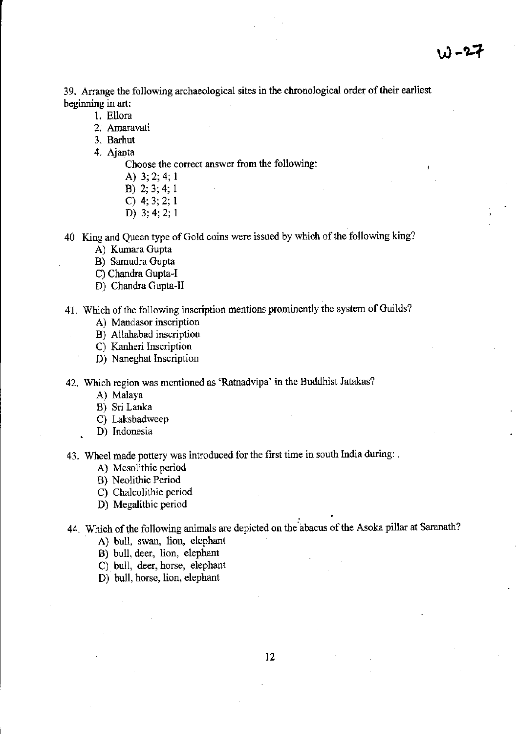**39. Arrange the following archaeological sites in the chronological order** of their **earliest**  beginning in art:

- 1. Ellora
- **2. Amaravati**
- 3. Barhut
- 4. Ajanta

**Choose the correct answer from the following:** 

- A) 3; 2; 4; I
- B) 2; 3; 4; I
- C) 4; 3; 2; I
- D) 3; 4; 2; I

**40. King and Queen type** of Gold **coins were issued by which** of the **following king?** 

- A) Kumara Gupta
- B) Sarnudra Gupta
- C) Chandra Gupta-I
- D) Chandra Gupta-II

**41. Which** of the **following inscription mentions prominently the system** of Guilds?

- **A) Mandasor inscription**
- B) AIlahabad inscription
- **C) Kanheri Inscription**
- D) Naneghat Inscription

**42. Which region was mentioned as 'Ratnadvipa' in the Buddhist latakas?** 

- A) Malaya
- B) Sri Lanka
- C) Lakshadweep
- **D) Indonesia**

**43. Wheel made pottery was introduced for the fIrst time in south India during: .** 

- A) Mesolithic period
- B) Neolithic Period
- C) Chalcolithic period
- D) Megalithic period

44. Which of the foIlowing animals are depicted on the abacus of the Asoka pillar at Saranath?

.

- A) bull, swan, lion, elephant
- B) bull, deer, lion, elephant
- C) bull, deer, horse, elephant
- D) buIl, horse, lion, elephant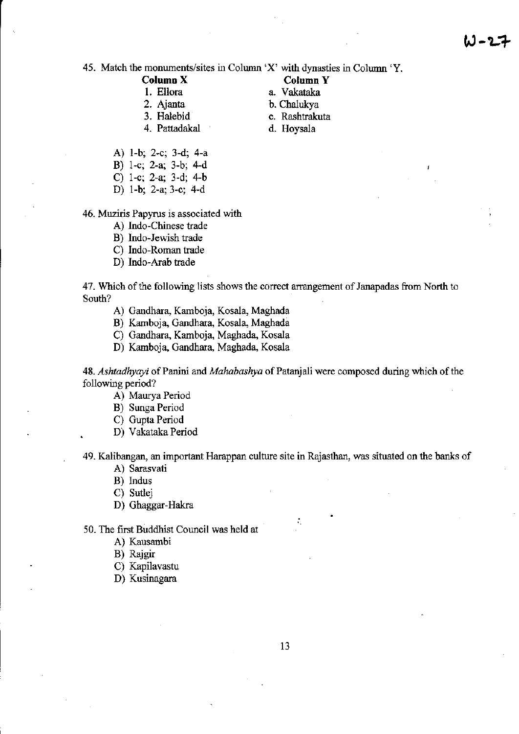**45. Match the monuments/sites in Colwnn 'X' with dynasties in Column 'Y.** 

**Column X Column Y**<br> **Column Y**<br> **Column X**<br> **Column X**<br> **Column X** 

- 
- 3. Halebid c. Rashtrakuta<br>4. Pattadakal d. Hovsala 4. Pattadakal
- -
	-
- A) I-b; 2-c; 3-d; 4-a
- B) I-c; 2-a; 3-b; 4-d
- 
- D) I-b; 2-a; 3-c; 4-d

**46. Muziris Papyrus is associated with** 

- A) Indo-Chinese trade
- B) Indo-Jewish trade
- C) Indo-Roman trade
- D) Indo-Arab trade

**47. Which** of the **following lists shows the correct arrangement of Janapadas from North to South?** 

- A) Gandhara, Karnboja, Kosala, Maghada
- B) Kamboja, Gandhara, Kosala, Maghada
- C) Gandhara, Karnboja, Maghada, Kosala
- D) Karnboja, Gandhara, Maghada, Kosala

48. Ashtadhyayi of Panini and *Mahabashya* of Patanjali were composed during which of the following period?

- A) Maurya Period
- B) Sunga Period
- C) Gupta Period
- D) Vakataka Period

**49. Kalibangan, an important Harappan culture site in Rajasthan, was situated on the banks of** 

. '.

- A) Sarasvati
- B) Indus
- C) Sutlej
- D) Ghaggar-Hakra

50. The first Buddhist Council was held at

- A) Kausambi
- B) Rajgir
- C) Kapilavastu
- D) Kusinagara
- 
- C) I-c; 2-a; 3-d; 4-b
	-
- a. Vakataka 2. Ajanta b. Chalukya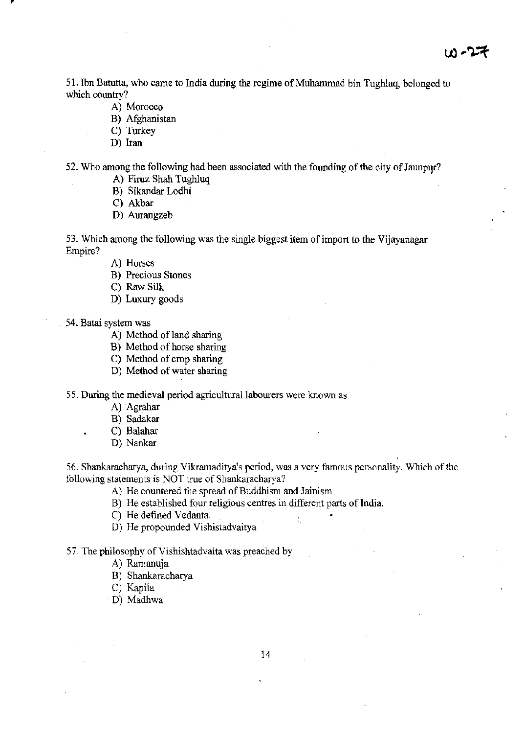51. Ibn Batutta, who came to India during the regime of Muhammad bin Tughlaq, belonged to which country?

- **A) Morocco**
- B) Afgbanistan
- C) Turkey
- D) Iran

52. Who among the following had been associated with the founding of the city of Jaunpur?

- A) Firuz Shah Tughluq
- B) Sikandar Lodhi
- C) Akbar
- D) Aurangzeb
- **53. Which among the following was the single biggest item of import to the Vijayanagar Empire?** 
	- A) Horses
	- **B) Precious Stones**
	- C) Raw Silk
	- D) Luxury goods
- **54. Batai system was** 
	- A) Method of land sharing
	- B) Method of horse sharing
	- C) Method of crop sharing
	- D) Method of water sharing

**55. During the medieval period agricultural labourers were known as** 

- A) Agrahar
- B) Sadakar
- C) Balahar
- D) Nankar

56. Shankaracharya, during Vikramaditya's period, was a very famous personality. Which of the **following statements is NOT true of Shankaracharya?** 

'.

- **A) He countered the spread** of Buddhism **and Jainism**
- B) He established four religious centres in different parts of India.
- C) He defined Vedanta.
- D) He propounded Vishistadvaitya

57. The philosophy of Vishishtadvaita was preached by

- A) Ramanuja
- B) Shankaracharya
- C) Kapila
- D) Madhwa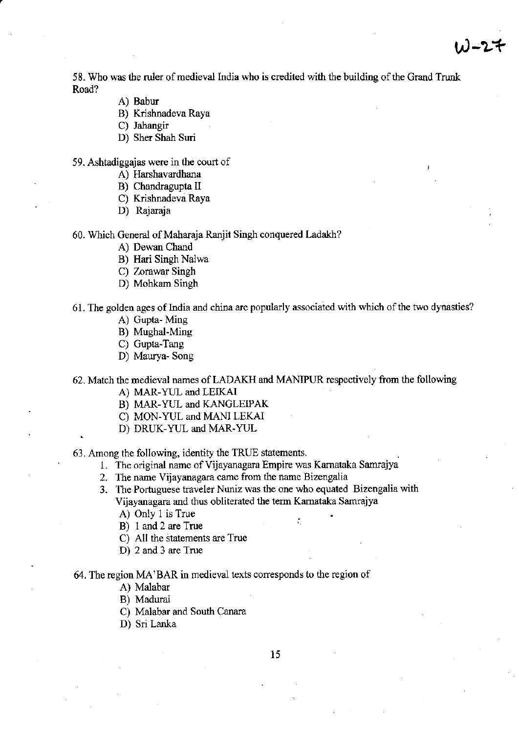58. Who was the ruler of medieval India who is credited with the building of the Grand Trunk Road?

- A) Babur
- B) Krishnadeva Raya

C) Jahangir

D) Sher Shah Suri

**59. Ashtadiggajas were in the court of** 

- A) Harshavardhana
- B) Chandragupta II
- C) Krishnadeva Raya
- D) Rajaraja

60. Which General of Maharaja Ranjit Singh conquered Ladakh?

- A) Dewan Chand
- B) Hari Singh Nalwa
- C) Zorawar Singh
- D) Mohkam Singh

**61. The golden ages ofIndia and china are popularly associated with which** of the **two dynasties?** 

- A) Gupta- Ming
- B) MughaI-Ming
- C) Gupta-Tang
- D) Maurya- Song

62. Match the medieval names of LADAKH and MANlPUR respectively from the following

- A) MAR-YUL and LEIKAI
- B) MAR-YUL and KANGLEIPAK
- C) MON-YUL and MANI LEKAl
- D) DRUK-YUL and MAR-YUL

63. Among the following, identity the TRUE statements. .

- **1. The original name ofVijayanagara Empire was Karnataka Samrajya**
- **2. The name Vijayanagara came from the name Bizengalia**
- **3. The Portuguese traveler Nuniz was the one who equated Bizengalia with Vijayanagara and thus obliterated the term Kamataka Samrajya**

. .

- A) Only I is True
- B) 1 and 2 are True
- C) All the statements are True
- D) 2 and 3 are True

**64. The region MA'BAR in medieval texts corresponds to the region of** 

- A) Malabar
- B) Madurai
- C) Malabar and South Canara
- D) Sri Lanka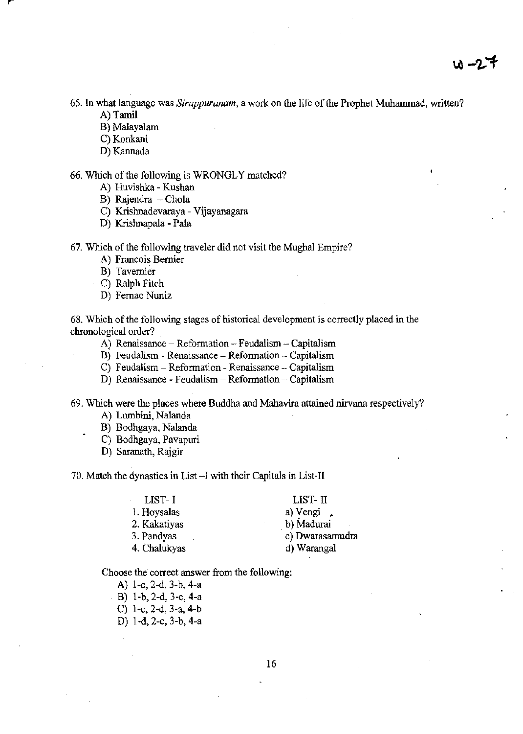$10 - 27$ 

**65. In what language was** *Sirappuranam,* **a work on the life** of the **Prophet Muhammad, written?**  A) Tamil

- B) Malayalam
- 
- C) Konkani
- D) Kannada

66, Which of the following is WRONGLY matched?

- A) Huvishka Kushan
- B) Rajendra  $-$  Chola
- C) Krishnadevaraya Vijayanagara
- D) Krishnapala Pala

67, Which of the following traveler did not visit the Mughal Empire?

- **A) Francois Bernier**
- **B) Tavernier**
- C) Ralph Fitch
- D) Fernao Nuniz

**68. Which** of the **following stages** of historical **development is correctly placed in the chronological order?** 

- **A) Renaissance - Reformation - Feudalism - Capitalism**
- **B) Feudalism - Renaissance - Reformation - Capitalism**
- **C) Feudalism - Reformation - Renaissance - Capitalism**
- **D) Renaissance - Feudalism - Reformation - Capitalism**

**69. Which were the places where Buddha and Mahavira attained nirvana respectively?** 

- A) Lwnbini, Nalanda
- B) Bodhgaya, Nalanda
- C) Bodhgaya, Pavapuri
- D) Saranath, Rajgir

70, Match the dynasties in List~I with their Capitals in List-II

| LIST- I      | LIST-II          |  |  |
|--------------|------------------|--|--|
| 1. Hoysalas  | a) Vengi $\cdot$ |  |  |
| 2. Kakatiyas | b) Madurai       |  |  |
| 3. Pandyas   | c) Dwarasamudra  |  |  |
| 4. Chalukyas | d) Warangal      |  |  |
|              |                  |  |  |

**Choose the correct answer from the following:** 

- A) I-c, 2-d, 3-b, 4-a
- B) l-b,2-d,3-c,4-a
- C)  $1-c$ ,  $2-d$ ,  $3-a$ ,  $4-b$
- D) 1-d, 2-c, 3-b, 4-a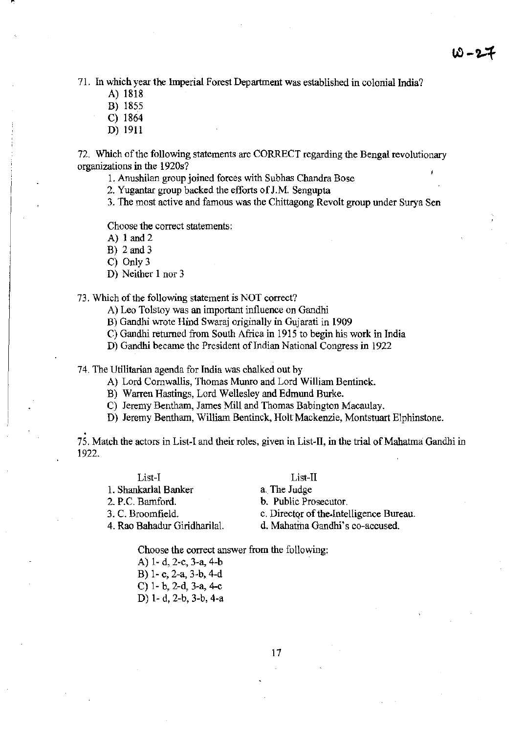71. In which year the Imperial Forest Department was established in colonial India?

A) 1818

B) 1855

C) 1864

D) 1911

72. Which of the following statements are CORRECT regarding the Bengal revolutionary **organizations in the 1920s?** 

**1. Anushilan group joined forces with Subhas Chandra Bose** 

2. Yugantar group backed the efforts of J.M. Sengupta

**3. The most active and famous was the Chittagong Revolt group under Surya Sen** 

**Choose the correct statements:** 

A) 1 and 2

B) 2and3

C) Only 3

D) Neither 1 nor 3

#### **73. Which** of the **following statement is NOT correct?**

- **A) Leo Tolstoy was an important influence on Gandhi**
- B) Gandhi wrote Hind Swaraj originally in Gujarati in 1909
- C) Gandhi returned from South Africa in 1915 to begin his work in India
- **D) Gandhi became the President of Indian National Congress in 1922**

**74. The Utilitarian agenda for India was chalked out by** 

- A) Lord Cornwallis, Thomas Munro and Lord William Bentinck.
- B) Warren Hastings, Lord Wellesley and Edmund Burke.
- C) Jeremy Bentham, James Mill and Thomas Babington Macaulay.
- D) Jeremy Bentham, William Bentinck, Holt Mackenzie, Montstuart Elphinstone .

. **75. Match the actors in List-I and their roles, given in List-II, in the trial** of Mahatma **Gandhi in**  1922.

|  | List-I |  |
|--|--------|--|
|  |        |  |

1. Shankar1a1 Banker 2. P.C. Bamford.

3. C. Broomfield.

4. Rae Bahadur Giridhari1al.

List-II a. The Judge

**b. Public Prosecutor.** 

c. Director of the Intelligence Bureau.

**d. Mahatina Gandhi's co-accused.** 

**Choose the correct answer from the following:** 

A) 1· d, 2·c, 3-a, 4-b B) 1-c, 2-a, 3-b, 4-d C) 1· b, 2-d, 3-a, 4-c D) 1- d, 2-b, 3-b, 4·a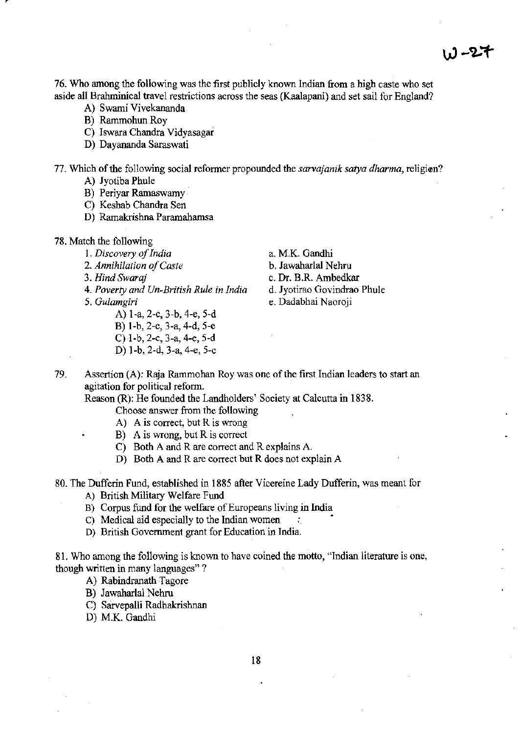76. Who among the following was the first publicly known Indian from a higb caste who set **aside all Brahminical travel restrictions across the seas (Kaalapani) and set sail for England?** 

- A) Swami Vivekananda
- B) Rammohun Roy
- C) Iswara Chandra Vidyasagar
- D) Dayananda Saraswati

**77. Which** of the **following social reformer propounded the** *sarvajanik satya dharma,* **religiam?** 

- A) Jyotiba Phule
- B) Periyar Ramaswamy
- C) Keshab Chandra Sen
- D) Ramakrishna Paramahamsa
- 78. Match the following
	- *1. Discovery of India* a. M.K. Gandhi
		-
		-
	- *4. Poverty and* Un~British *Rule in India* **d. Jyotirao Govindrao Phule**
	- - A) I-a, 2-c, 3-b, 4-e, 5-d
		- B) I-b, 2-c, 3-a, 4-d, 5-e
		- C) I-b, 2-c, 3-a, 4-e, 5-d
		- D) I-b, 2-d, 3-a, 4-e, 5-c

- *2. Annihilation of Caste* b. Jawaharlal Nehru
- *3. Hind Swaraj* c. Dr. B.R. Ambedkar
	-
- *5. Gulamgiri* **e. Dadabhai Naoroji**
- **79. Assertion (A): Raja Rammohan Roy was one** of the **first Indian leaders to start an agitation for political refonn.**

Reason (R): He founded the Landholders' Society at Calcutta in 1838.

- **Choose answer from the following**
- **A) A is correct, but R is wrong**
- **B) A is wrong, but R is correct**
- C) Both A and R are correct and R explains A.
- D) Both A and R are correct but R does not explain A
- **80. The Dufferin Fund, established in 1885 after Vicereine Lady Dufferin, was meant for** 
	- A) British Military Welfare Fund
	- **B) Corpus fund for the welfare** of Europeans **living in India**
	- C) Medical aid especially to the Indian women.
	- **D) British Government grant for Education in India.**

**81. Who among the following is known to have coined the motto, "Indian literature is one, though written in many languages"** ?

- A) Rabindranath Tagore
- B) Jawaharlal Nehru
- C) Sarvepalli Radhakrishnan
- D) M.K. Gandhi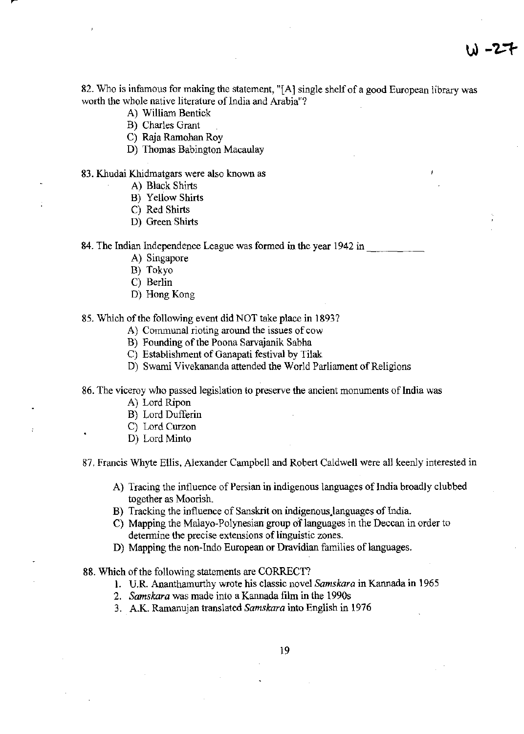**82. Who is infamous for making the statement, "[A] single shelf of a good European library was worth the whole native literature of India and Arabia"?** 

- A) William Bentick
- B) Charles Grant
- C) Raja Ramohan Roy
- D) Thomas Babington Macaulay

#### **83. Khudai Khidmatgars were also known as**

- A) Black Shirts
- B) Yellow Shirts
- C) Red Shirts
- D) Green Shirts

84. The Indian Independence League was formed in the year 1942 in

- A) Singapore
- B) Tokyo
- C) Berlin
- D) Hong Kong

### 85. Which of the following event did NOT take place in 1893?

- **A) Communal rioting around the issues of cow**
- B) Founding of the Poona Sarvajanik Sabha
- C) Establishment of Ganapati festival by Tilak
- **D) Swami Vivekananda attended the World Parliament of Religions**

**86. The viceroy who passed legislation to preserve the ancient monuments of India was** 

- A) Lord Ripon
- B) Lord Dufferin
- C) Lord Curzon
- D) Lord Minto

87. Francis Whyte Ellis, Alexander Campbell and Rohert Caldwell were all keenly interested in

- A) Tracing the influence of Persian in indigenous languages of India broadly clubbed **together as Moorish.**
- B) Tracking the influence of Sanskrit on indigenous.languages of lndia.
- **C) Mapping the** Malayo~Polynesian **group** of languages **in the Deccan in order to detennine the precise extensions of linguistic zones.**
- **D)** Mapping the non-Indo European or Dravidian families of languages.

88. Which of the following statements are CORRECT?

- **L U.R Ananthamurthy wrote his classic novel** *Samskara* **in Kannada in 1965**
- *2. Samskara* **was made into a Kannada film in the 1990s**
- 3. A.K. Ramanujan translated *Samskara* into English in 1976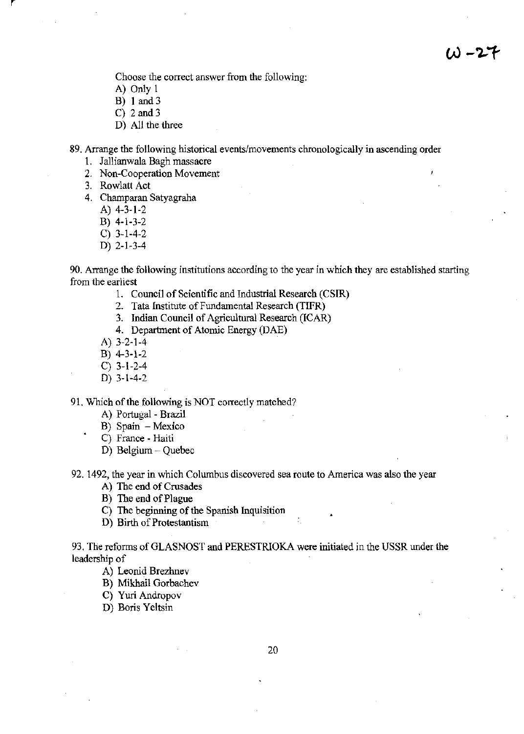**Choose the correct answer from the following:** 

- A) Only 1
- B) 1 and 3
- C)  $2$  and  $3$
- D) All the three

**89. Arrange the following historical events/movements chronologically in ascending order** 

- 1. Jallianwaia Bagh massacre
- **2. Non-Cooperation Movement**
- 3. Rowlatt Act
- 4. Champaran Satyagraha
	- A) 4-3-1-2
	- B) 4-1-3-2
	- C) 3-1-4-2
	- D) 2-1-3-4

**90. Arrange the following institutions according to the year in which they are established starting from the earliest** 

- l. Council of Scientific and Industrial Research (CSIR)
- 2. Tata Institute of Fundamental Research (TIFR)
- 3. Indian Council of Agricultural Research (ICAR)
- 4. Department of Atomic Energy (DAE)
- A) 3-2-1-4
- B) 4-3-1-2
- C) 3-1-2-4
- D) 3-1-4-2

9l. Which of the following is NOT correctly matched?

- A) Portugal Brazil
- **B) Spain - Mexico**
- **C) France - Haiti**
- D) Belgium Quebec

**92. 1492, the year in which Columbus discovered sea route to America was also the year** 

- A) The end of Crusades
- B) The end of Plague
- C) The beginning of the Spanish Inquisition
- D) Bitth of Protestantism

93. The reforms of GLASNOST and PERESTRJOKA were initiated in the USSR under the leadership of

- A) Leonid Brezhnev
- B) Mikhail Gorbachev
- C) Yuri Andropov
- D) Boris Yeltsin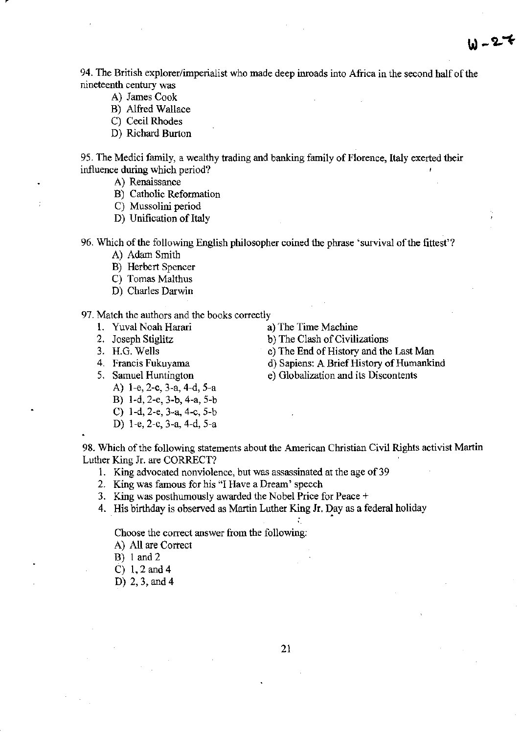**94. The British explorer/imperialist who made deep inroads into Africa in the second** half of the **nineteenth century was** 

- A) James Cook
- B) Alfred Wallace
- C) Cecil Rhodes
- D) Richard Burton

95. The Medici family, a wealthy trading and banking family of Florence, Italy exerted their **influence during which period?** 

A) Renaissance

Ģ

- B) Catholic Reformation
- C) Mussolini period
- D) Unification of Italy

96. Which of the following English philosopher coined the phrase 'survival of the fittest'?

- A) Adam Smith
- B) Herbert Spencer
- C) Tomas Malthus
- D) Charles Darwin

#### **97. Match the authors and the books correctly**

- 
- 
- 
- 
- 
- 1. Yuval Noah Harari a) The Time Machine
- 2. Joseph Stiglitz b) The Clash of Civilizations
- 3. H.G. Wells c) The End of History and the Last Man
- **4. Francis Fukuyama d) Sapiens: A** Brief History of Humankind

 $W - 27$ 

- **5. Samuel Huntington e) Globalization and its Discontents** 
	- A) 1-e, 2-c, 3-a, 4-d, 5-a
		- B) I-d, 2-e, 3-b, 4-a, 5-b
		- C) I-d, 2-e, 3-a, 4-c, 5-b
		- D) I-e, 2-c, 3-a, 4-d, 5-a

**98. Which** of the **following statements about the American Christian Civil Rights activist Martin**  Luther King Jr. are CORRECT?

- **1. King advocated nonviolence, but was assassinated at the age of39**
- **2. King was famous for his "I Have a Dream' speech**
- **3. King was posthumously awarded the Nobel Price for Peace** +
- 4. His birthday is observed as Martin Luther King Jr. Day as a federal holiday •

**Choose the correct answer from the following:** 

- A) All are Correct
- B) I and 2
- C) 1,2and4
- D) 2,3, and 4